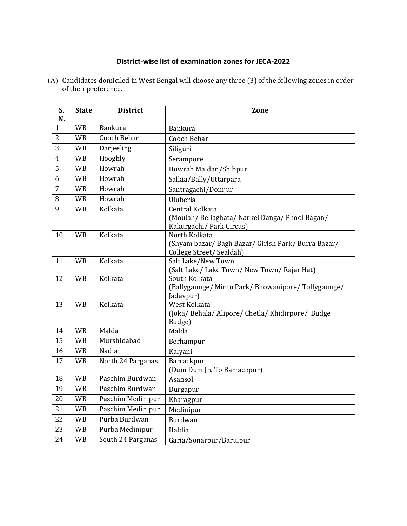## **District-wise list of examination zones for JECA-2022**

| S.<br>N.       | <b>State</b> | <b>District</b>    | Zone                                                                                           |
|----------------|--------------|--------------------|------------------------------------------------------------------------------------------------|
| $\mathbf{1}$   | <b>WB</b>    | <b>Bankura</b>     | Bankura                                                                                        |
| $\overline{2}$ | <b>WB</b>    | <b>Cooch Behar</b> | Cooch Behar                                                                                    |
| 3              | <b>WB</b>    | Darjeeling         | Siliguri                                                                                       |
| $\overline{4}$ | <b>WB</b>    | Hooghly            | Serampore                                                                                      |
| 5              | <b>WB</b>    | Howrah             | Howrah Maidan/Shibpur                                                                          |
| 6              | <b>WB</b>    | Howrah             | Salkia/Bally/Uttarpara                                                                         |
| $\overline{7}$ | <b>WB</b>    | Howrah             | Santragachi/Domjur                                                                             |
| 8              | <b>WB</b>    | Howrah             | Uluberia                                                                                       |
| 9              | <b>WB</b>    | Kolkata            | Central Kolkata<br>(Moulali/ Beliaghata/ Narkel Danga/ Phool Bagan/<br>Kakurgachi/Park Circus) |
| 10             | <b>WB</b>    | Kolkata            | North Kolkata<br>(Shyam bazar/Bagh Bazar/Girish Park/Burra Bazar/<br>College Street/Sealdah)   |
| 11             | <b>WB</b>    | Kolkata            | Salt Lake/New Town<br>(Salt Lake/ Lake Town/ New Town/ Rajar Hat)                              |
| 12             | <b>WB</b>    | Kolkata            | South Kolkata<br>(Ballygaunge/ Minto Park/ Bhowanipore/ Tollygaunge/<br>Jadavpur)              |
| 13             | <b>WB</b>    | Kolkata            | West Kolkata<br>(Joka/Behala/Alipore/Chetla/Khidirpore/Budge<br>Budge)                         |
| 14             | <b>WB</b>    | Malda              | Malda                                                                                          |
| 15             | <b>WB</b>    | Murshidabad        | Berhampur                                                                                      |
| 16             | <b>WB</b>    | Nadia              | Kalyani                                                                                        |
| 17             | <b>WB</b>    | North 24 Parganas  | Barrackpur<br>(Dum Dum Jn. To Barrackpur)                                                      |
| 18             | <b>WB</b>    | Paschim Burdwan    | Asansol                                                                                        |
| 19             | <b>WB</b>    | Paschim Burdwan    | Durgapur                                                                                       |
| 20             | <b>WB</b>    | Paschim Medinipur  | Kharagpur                                                                                      |
| 21             | <b>WB</b>    | Paschim Medinipur  | Medinipur                                                                                      |
| 22             | <b>WB</b>    | Purba Burdwan      | Burdwan                                                                                        |
| 23             | <b>WB</b>    | Purba Medinipur    | Haldia                                                                                         |
| 24             | <b>WB</b>    | South 24 Parganas  | Garia/Sonarpur/Baruipur                                                                        |

(A) Candidates domiciled in West Bengal will choose any three (3) of the following zones in order of their preference.